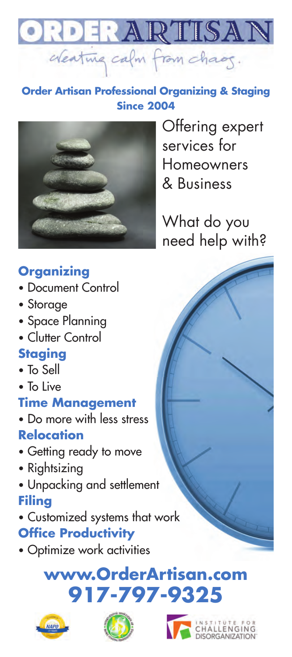

#### **Since 2004 Order Artisan Professional Organizing & Staging**



Offering expert services for Homeowners & Business

What do you need help with?

## **Organizing**

- Document Control
- Storage
- Space Planning
- Clutter Control

## **Staging**

- To Sell
- To Live

### **Time Management**

- Do more with less stress **Relocation**
- Getting ready to move
- Rightsizing
- Unpacking and settlement **Filing**
- Customized systems that work **Office Productivity**
- Optimize work activities